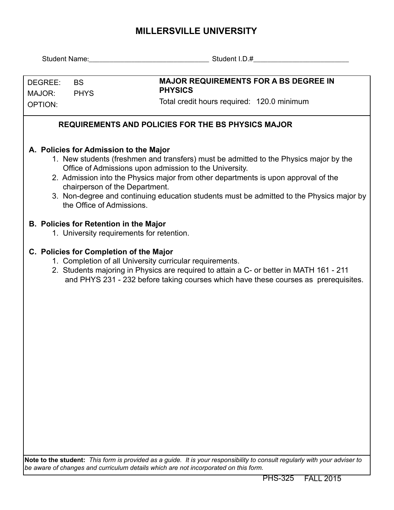## **MILLERSVILLE UNIVERSITY**

|                                                                                                                                                                                                                                                                                                                                                                                                                                            |                                               | Student Name: Student I.D.#                                                                                                                                                                                                                                                           |  |  |  |  |  |  |  |  |  |
|--------------------------------------------------------------------------------------------------------------------------------------------------------------------------------------------------------------------------------------------------------------------------------------------------------------------------------------------------------------------------------------------------------------------------------------------|-----------------------------------------------|---------------------------------------------------------------------------------------------------------------------------------------------------------------------------------------------------------------------------------------------------------------------------------------|--|--|--|--|--|--|--|--|--|
| DEGREE:<br>MAJOR:                                                                                                                                                                                                                                                                                                                                                                                                                          | <b>BS</b><br><b>PHYS</b>                      | <b>MAJOR REQUIREMENTS FOR A BS DEGREE IN</b><br><b>PHYSICS</b>                                                                                                                                                                                                                        |  |  |  |  |  |  |  |  |  |
| <b>OPTION:</b>                                                                                                                                                                                                                                                                                                                                                                                                                             |                                               | Total credit hours required: 120.0 minimum                                                                                                                                                                                                                                            |  |  |  |  |  |  |  |  |  |
| <b>REQUIREMENTS AND POLICIES FOR THE BS PHYSICS MAJOR</b>                                                                                                                                                                                                                                                                                                                                                                                  |                                               |                                                                                                                                                                                                                                                                                       |  |  |  |  |  |  |  |  |  |
| A. Policies for Admission to the Major<br>1. New students (freshmen and transfers) must be admitted to the Physics major by the<br>Office of Admissions upon admission to the University.<br>2. Admission into the Physics major from other departments is upon approval of the<br>chairperson of the Department.<br>3. Non-degree and continuing education students must be admitted to the Physics major by<br>the Office of Admissions. |                                               |                                                                                                                                                                                                                                                                                       |  |  |  |  |  |  |  |  |  |
|                                                                                                                                                                                                                                                                                                                                                                                                                                            | <b>B. Policies for Retention in the Major</b> | 1. University requirements for retention.                                                                                                                                                                                                                                             |  |  |  |  |  |  |  |  |  |
|                                                                                                                                                                                                                                                                                                                                                                                                                                            |                                               | C. Policies for Completion of the Major<br>1. Completion of all University curricular requirements.<br>2. Students majoring in Physics are required to attain a C- or better in MATH 161 - 211<br>and PHYS 231 - 232 before taking courses which have these courses as prerequisites. |  |  |  |  |  |  |  |  |  |
|                                                                                                                                                                                                                                                                                                                                                                                                                                            |                                               | Note to the student: This form is provided as a guide. It is your responsibility to consult regularly with your adviser to                                                                                                                                                            |  |  |  |  |  |  |  |  |  |

**Note to the student:** *This form is provided as a guide. It is your responsibility to consult regularly with your adviser to be aware of changes and curriculum details which are not incorporated on this form.*